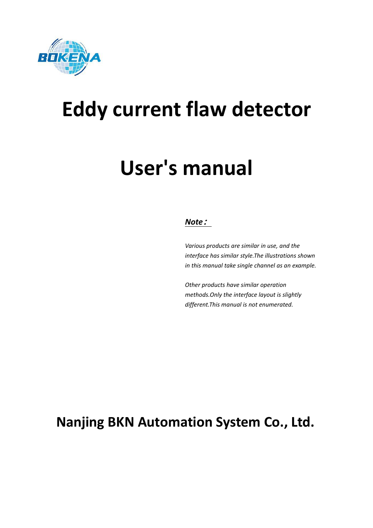

# **Eddy current flaw detector**

# **User's manual**

# *Note***:**

*Various products are similar in use, and the interface hassimilar style.The illustrations shown in this manual take single channel as an example.*

*Other products have similar operation methods.Only the interface layout is slightly different.This manual is not enumerated.*

# **Nanjing BKN Automation System Co., Ltd.**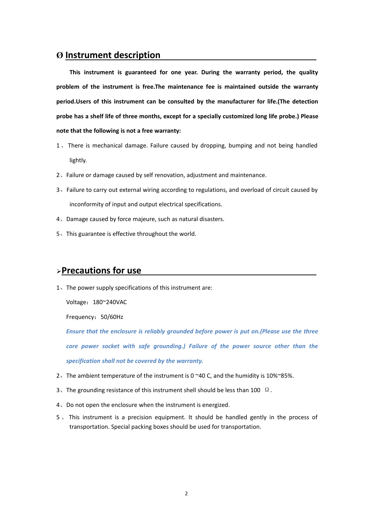## **Ø Instrument description**

**This instrument is guaranteed for one year. During the warranty period, the quality problem of the instrument is free.The maintenance fee is maintained outside the warranty period.Users of this instrument can be consulted by the manufacturer for life.(The detection probe has a shelf life of three months, except for a specially customized long life probe.) Please note that the following is not a free warranty:**

- 1、There is mechanical damage. Failure caused bydropping, bumping and not being handled lightly.
- 2、Failure or damage caused by self renovation, adjustment and maintenance.
- 3、Failure to carry out external wiring according to regulations, and overload of circuit caused by inconformity of input and output electrical specifications.
- 4、Damage caused by force majeure, such as natural disasters.
- 5、This guarantee is effective throughout the world.

### **Precautions for use**

1、The power supply specifications of this instrument are:

Voltage: 180~240VAC

Frequency:50/60Hz

*Ensure that the enclosure is reliably grounded before power is put on.(Please use the three core power socket with safe grounding.) Failure of the power source other than the specification shall not be covered by the warranty.*

- 2、The ambient temperature of the instrument is 0 ~40 C, and the humidity is 10%~85%.
- 3. The grounding resistance of this instrument shell should be less than 100  $\Omega$ .
- 4、Do not open the enclosure when the instrument is energized.
- 5. This instrument is a precision equipment. It should be handled gently in the process of transportation. Special packing boxes should be used for transportation.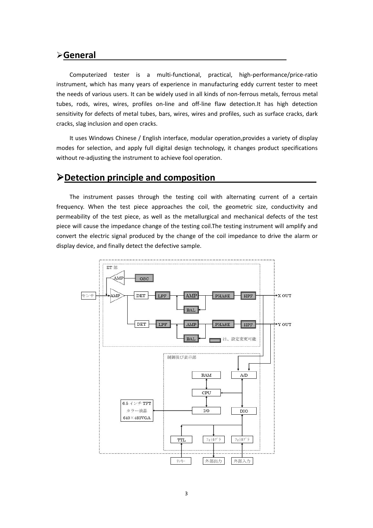#### **General**

Computerized tester is a multi-functional, practical, high-performance/price-ratio instrument, which has many years of experience in manufacturing eddy current tester to meet the needs of various users. It can be widely used in all kinds of non-ferrous metals, ferrous metal tubes, rods, wires, wires, profiles on-line and off-line flaw detection.It has high detection sensitivity for defects of metal tubes, bars, wires, wires and profiles, such as surface cracks, dark cracks, slag inclusion and open cracks.

It uses Windows Chinese / English interface, modular operation,provides a variety of display modes for selection, and apply full digital design technology, it changes product specifications without re-adjusting the instrument to achieve fool operation.

# **Detection principle and composition**

The instrument passes through the testing coil with alternating current of a certain frequency. When the test piece approaches the coil, the geometric size, conductivity and permeability of the test piece, as well as the metallurgical and mechanical defects of the test piece will cause the impedance change of the testing coil.The testing instrument will amplify and convert the electric signal produced by the change of the coil impedance to drive the alarm or display device, and finally detect the defective sample.

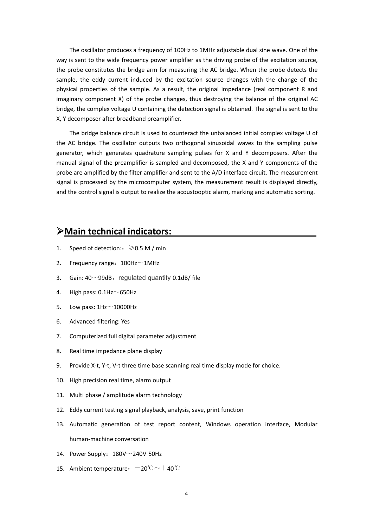The oscillator produces a frequency of 100Hz to 1MHz adjustable dual sine wave. One of the way is sent to the wide frequency power amplifier as the driving probe of the excitation source, the probe constitutes the bridge arm for measuring the AC bridge. When the probe detects the sample, the eddy current induced by the excitation source changes with the change of the physical properties of the sample. As a result, the original impedance (real component R and imaginary component X) of the probe changes, thus destroying the balance of the original AC bridge, the complex voltage U containing the detection signal is obtained. The signal is sent to the X, Y decomposer after broadband preamplifier.

The bridge balance circuit is used to counteract the unbalanced initial complex voltage U of the AC bridge. The oscillator outputs two orthogonal sinusoidal waves to the sampling pulse generator, which generates quadrature sampling pulses for X and Y decomposers. After the manual signal of the preamplifier is sampled and decomposed, the X and Y components of the probe are amplified by the filter amplifier and sent to the A/D interface circuit. The measurement signal is processed by the microcomputer system, the measurement result is displayed directly, and the control signal is output to realize the acoustooptic alarm, marking and automatic sorting.

### **Main technical indicators:**

- 1. Speed of detection::  $\geq 0.5$  M / min
- 2. Frequency range:  $100$ Hz $\sim$ 1MHz
- 3. Gain:  $40^{\circ}$ 99dB, regulated quantity 0.1dB/ file
- 4. High pass:  $0.1$ Hz $\sim$ 650Hz
- 5. Low pass:  $1\text{Hz} \sim 10000\text{Hz}$
- 6. Advanced filtering: Yes
- 7. Computerized full digital parameter adjustment
- 8. Real time impedance plane display
- 9. Provide X-t, Y-t, V-t three time base scanning real time display mode for choice.
- 10. High precision real time, alarm output
- 11. Multi phase / amplitude alarm technology
- 12. Eddy current testing signal playback, analysis, save, print function
- 13. Automatic generation of test report content, Windows operation interface, Modular human-machine conversation
- 14. Power Supply:  $180V^{\sim}$ 240V 50Hz
- 15. Ambient temperature:  $-20^{\circ}\text{C} \sim +40^{\circ}\text{C}$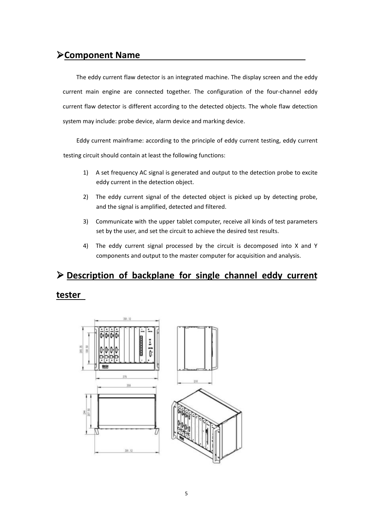# **Component Name**

The eddy current flaw detector is an integrated machine. The display screen and the eddy current main engine are connected together. The configuration of the four-channel eddy current flaw detector is different according to the detected objects. The whole flaw detection system may include: probe device, alarm device and marking device.

Eddy current mainframe: according to the principle of eddy current testing, eddy current testing circuit should contain at least the following functions:

- 1) A set frequency AC signal is generated and output to the detection probe to excite eddy current in the detection object.
- 2) The eddy current signal of the detected object is picked up by detecting probe, and the signal is amplified, detected and filtered.
- 3) Communicate with the upper tablet computer, receive all kinds of test parameters set by the user, and set the circuit to achieve the desired test results.
- 4) The eddy current signal processed by the circuit is decomposed into X and Y components and output to the master computer for acquisition and analysis.

# **Description of backplane for single channel eddy current**

#### **tester**

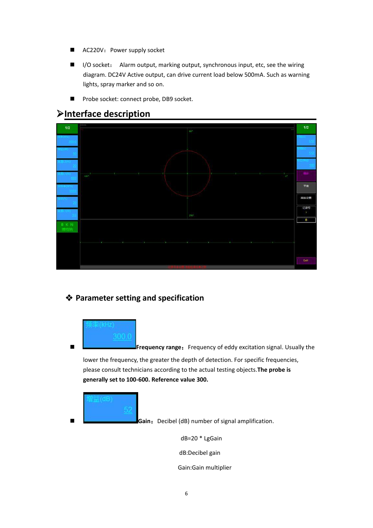- AC220V: Power supply socket
- I/O socket: Alarm output, marking output, synchronous input, etc, see the wiring diagram. DC24V Active output, can drive current load below 500mA. Such as warning lights, spray marker and so on.
- **Probe socket: connect probe, DB9 socket.**

# **Interface description**



# **Parameter setting and specification**



**Frequency range:** Frequency of eddy excitation signal. Usually the

lower the frequency, the greater the depth of detection. For specific frequencies, please consult technicians according to the actual testing objects.**The probe is generally set to 100-600. Reference value 300.**



**Gain:** Decibel (dB) number of signal amplification.

dB=20 \* LgGain

dB:Decibel gain

Gain:Gain multiplier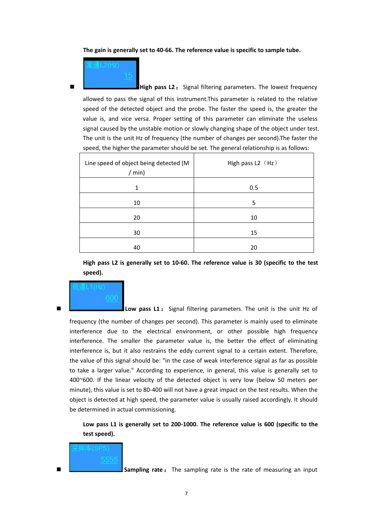**The gain is generally set to 40-66. The reference value is specific to sample tube.**

**High pass L2:** Signal filtering parameters. The lowest frequency

allowed to pass the signal of this instrument. This parameter is related to the relative speed of the detected object and the probe. The faster the speed is, the greater the value is, and vice versa. Proper setting of this parameter can eliminate the useless signal caused by the unstable motion or slowly changing shape of the object under test. The unit is the unit Hz of frequency (the number of changes per second).The faster the speed, the higher the parameter should be set. The general relationship is as follows:

| Line speed of object being detected (M<br>/ min) | High pass L2 (Hz) |  |
|--------------------------------------------------|-------------------|--|
|                                                  | 0.5               |  |
| 10                                               | 5                 |  |
| 20                                               | 10                |  |
| 30                                               | 15                |  |
| 40                                               | 20                |  |

**High pass L2 is generally set to 10-60. The reference value is 30 (specific to the test speed).**

**Low pass L1** : Signal filtering parameters. The unit is the unit Hz of

frequency (the number of changes per second). This parameter is mainly used to eliminate interference due to the electrical environment, or other possible high frequency interference. The smaller the parameter value is, the better the effect of eliminating interference is, but it also restrains the eddy current signal to a certain extent. Therefore, the value of this signal should be: "in the case of weak interference signal as far as possible to take a larger value." According to experience, in general, this value is generally set to 400~600. If the linear velocity of the detected object is very low (below 50 meters per minute), this value is set to 80-400 will not have a great impact on the test results. When the object is detected at high speed, the parameter value is usually raised accordingly. It should be determined in actual commissioning.

**Low pass L1 is generally set to 200-1000. The reference value is 600 (specific to the test speed).**



**Sampling rate**: The sampling rate is the rate of measuring an input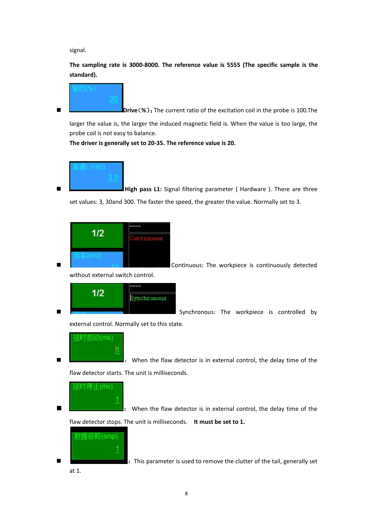signal.

**The sampling rate is 3000-8000. The reference value is 5555 (The specific sample is the standard).**



**Drive**(%): The current ratio of the excitation coil in the probe is 100. The

larger the value is, the larger the induced magnetic field is.When the value is too large, the probe coil is not easy to balance.

**The driver is generally set to 20-35. The reference value is 20.**



 **High pass L1:** Signal filtering parameter ( Hardware ). There are three set values: 3, 30and 300. The faster the speed, the greater the value. Normally set to 3.

| 172<br>ı |  |  |
|----------|--|--|
|          |  |  |
|          |  |  |

**Continuous:** The workpiece is continuously detected

without external switch control.



Synchronous: The workpiece is controlled by

external control. Normally set to this state.



**External controlled Figure 1.** When the flaw detector is in external control, the delay time of the flaw detector starts. The unit is milliseconds.

:时停止(m

 $\mathbf{l}$ : When the flaw detector is in external control, the delay time of the flaw detector stops. The unit is milliseconds. **It must be set to 1.**



**Example:** This parameter is used to remove the clutter of the tail, generally set

at 1.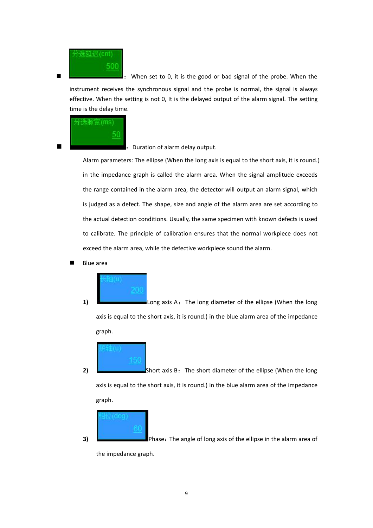

**EXECUTE:** When set to 0, it is the good or bad signal of the probe. When the instrument receives the synchronous signal and the probe is normal, the signal is always effective. When the setting is not 0, It is the delayed output of the alarm signal. The setting time is the delay time.



:Duration of alarm delay output.

Alarm parameters: The ellipse (When the long axis is equal to the short axis, it is round.) in the impedance graph is called the alarm area. When the signal amplitude exceeds the range contained in the alarm area, the detector will output an alarm signal, which is judged as a defect. The shape, size and angle of the alarm area are set according to the actual detection conditions. Usually, the same specimen with known defects is used to calibrate. The principle of calibration ensures that the normal workpiece does not exceed the alarm area, while the defective workpiece sound the alarm.

Blue area



**1) Exercise 20** Long axis A: The long diameter of the ellipse (When the long axis is equal to the short axis, it is round.) in the blue alarm area of the impedance graph.

**2)** Short axis B: The short diameter of the ellipse (When the long axis is equal to the short axis, it is round.) in the blue alarm area of the impedance graph.

$$
\frac{\text{H}\ddot{\text{u}}(\text{deg})}{60}
$$

**3) Phase:** The angle of long axis of the ellipse in the alarm area of the impedance graph.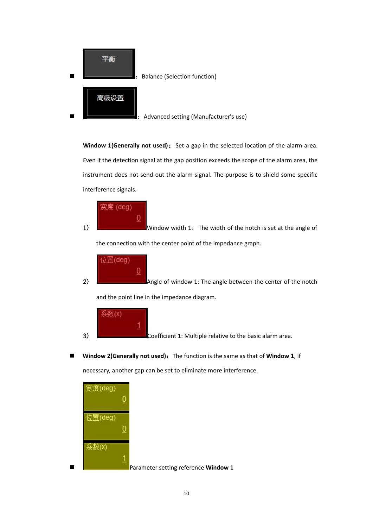

**Window 1(Generally not used):** Set a gap in the selected location of the alarm area. Even if the detection signal at the gap position exceeds the scope of the alarm area, the instrument does not send out the alarm signal. The purpose is to shield some specific interference signals.



1) **WE ARROW WINDOW WIDE UP AT A WINDOW WIDE 1:** The width of the notch is set at the angle of the connection with the center point of the impedance graph.



2) **Angle of window 1:** The angle between the center of the notch and the point line in the impedance diagram.

$$
\begin{vmatrix} \overline{\mathbf{A}}\ \ \underline{\mathbf{W}}(\mathbf{X}) & 1 \\ 1 & 1 \end{vmatrix}
$$

3) Coefficient 1: Multiple relative to the basic alarm area.

■ **Window 2(Generally not used):** The function is the same as that of **Window 1**, if necessary, another gap can be set to eliminate more interference.

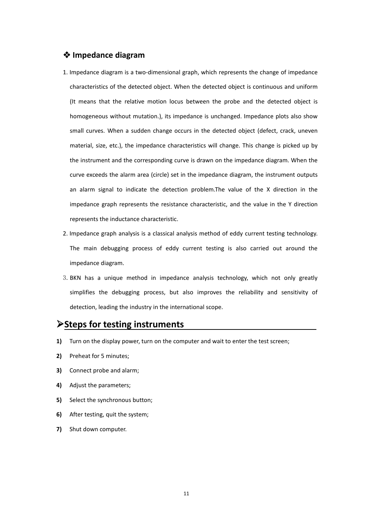#### **Impedance diagram**

- 1. Impedance diagram is a two-dimensional graph, which represents the change of impedance characteristics of the detected object. When the detected object is continuous and uniform (It means that the relative motion locusbetween the probe and the detected object is homogeneous without mutation.), its impedance is unchanged. Impedance plots also show small curves. When a sudden change occurs in the detected object (defect, crack, uneven material, size, etc.), the impedance characteristics will change. This change is picked up by the instrument and the corresponding curve is drawn on the impedance diagram. When the curve exceeds the alarm area (circle) set in the impedance diagram, the instrument outputs an alarm signal to indicate the detection problem.The value of the X direction in the impedance graph represents the resistance characteristic, and the value in the Y direction represents the inductance characteristic.
- 2. Impedance graph analysis is a classical analysis method of eddy current testing technology. The main debugging process of eddy current testing is also carried out around the impedance diagram.
- 3.BKN has a unique method in impedance analysis technology, which not only greatly simplifies the debugging process, but also improves the reliability and sensitivity of detection, leading the industry in the international scope.

## **Steps for testing instruments**

- **1)** Turn on the display power, turn on the computer and wait to enter the test screen;
- **2)** Preheat for 5 minutes;
- **3)** Connect probe and alarm;
- **4)** Adjust the parameters;
- **5)** Select the synchronous button;
- **6)** After testing, quit the system;
- **7)** Shut down computer.